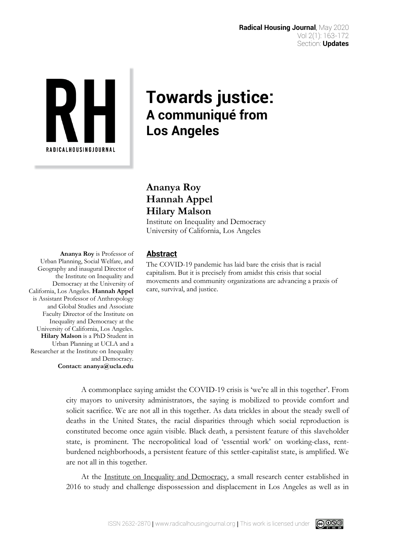

# **Towards justice: A communiqué from Los Angeles**

# **Ananya Roy Hannah Appel Hilary Malson**

Institute on Inequality and Democracy University of California, Los Angeles

**Ananya Roy** is Professor of Urban Planning, Social Welfare, and Geography and inaugural Director of the Institute on Inequality and Democracy at the University of California, Los Angeles. **Hannah Appel**  is Assistant Professor of Anthropology and Global Studies and Associate Faculty Director of the Institute on Inequality and Democracy at the University of California, Los Angeles. **Hilary Malson** is a PhD Student in Urban Planning at UCLA and a Researcher at the Institute on Inequality and Democracy. **Contact: ananya@ucla.edu**

# **Abstract**

The COVID-19 pandemic has laid bare the crisis that is racial capitalism. But it is precisely from amidst this crisis that social movements and community organizations are advancing a praxis of care, survival, and justice.

A commonplace saying amidst the COVID-19 crisis is 'we're all in this together'. From city mayors to university administrators, the saying is mobilized to provide comfort and solicit sacrifice. We are not all in this together. As data trickles in about the steady swell of deaths in the United States, the racial disparities through which social reproduction is constituted become once again visible. Black death, a persistent feature of this slaveholder state, is prominent. The necropolitical load of 'essential work' on working-class, rentburdened neighborhoods, a persistent feature of this settler-capitalist state, is amplified. We are not all in this together.

At the [Institute on Inequality and Democracy,](https://challengeinequality.luskin.ucla.edu/) a small research center established in 2016 to study and challenge dispossession and displacement in Los Angeles as well as in

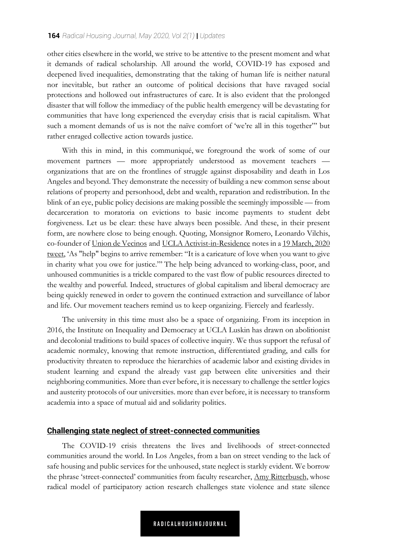other cities elsewhere in the world, we strive to be attentive to the present moment and what it demands of radical scholarship. All around the world, COVID-19 has exposed and deepened lived inequalities, demonstrating that the taking of human life is neither natural nor inevitable, but rather an outcome of political decisions that have ravaged social protections and hollowed out infrastructures of care. It is also evident that the prolonged disaster that will follow the immediacy of the public health emergency will be devastating for communities that have long experienced the everyday crisis that is racial capitalism. What such a moment demands of us is not the naïve comfort of 'we're all in this together"' but rather enraged collective action towards justice.

With this in mind, in this communiqué, we foreground the work of some of our movement partners — more appropriately understood as movement teachers organizations that are on the frontlines of struggle against disposability and death in Los Angeles and beyond. They demonstrate the necessity of building a new common sense about relations of property and personhood, debt and wealth, reparation and redistribution. In the blink of an eye, public policy decisions are making possible the seemingly impossible — from decarceration to moratoria on evictions to basic income payments to student debt forgiveness. Let us be clear: these have always been possible. And these, in their present form, are nowhere close to being enough. Quoting, Monsignor Romero, Leonardo Vilchis, co-founder of [Union de Vecinos](http://www.uniondevecinos.org/) and [UCLA Activist-in-Residence](https://challengeinequality.luskin.ucla.edu/activist-in-residence/) notes in a 19 March, 2020 [tweet, 'As "help" begins to arrive remember: "It is a](https://twitter.com/VilchisLeonardo/status/1240888963717419008?s=20) caricature of love when you want to give in charity what you owe for justice."' The help being advanced to working-class, poor, and unhoused communities is a trickle compared to the vast flow of public resources directed to the wealthy and powerful. Indeed, structures of global capitalism and liberal democracy are being quickly renewed in order to govern the continued extraction and surveillance of labor and life. Our movement teachers remind us to keep organizing. Fiercely and fearlessly.

The university in this time must also be a space of organizing. From its inception in 2016, the Institute on Inequality and Democracy at UCLA Luskin has drawn on abolitionist and decolonial traditions to build spaces of collective inquiry. We thus support the refusal of academic normalcy, knowing that remote instruction, differentiated grading, and calls for productivity threaten to reproduce the hierarchies of academic labor and existing divides in student learning and expand the already vast gap between elite universities and their neighboring communities. More than ever before, it is necessary to challenge the settler logics and austerity protocols of our universities. more than ever before, it is necessary to transform academia into a space of mutual aid and solidarity politics.

#### **Challenging state neglect of street-connected communities**

The COVID-19 crisis threatens the lives and livelihoods of street-connected communities around the world. In Los Angeles, from a ban on street vending to the lack of safe housing and public services for the unhoused, state neglect is starkly evident. We borrow the phrase 'street-connected' communities from faculty researcher, [Amy Ritterbusch,](https://challengeinequality.luskin.ucla.edu/2018/03/01/desagarrando-pueblo-a-research-justice-collective-against-knowledge-extractivism/) whose radical model of participatory action research challenges state violence and state silence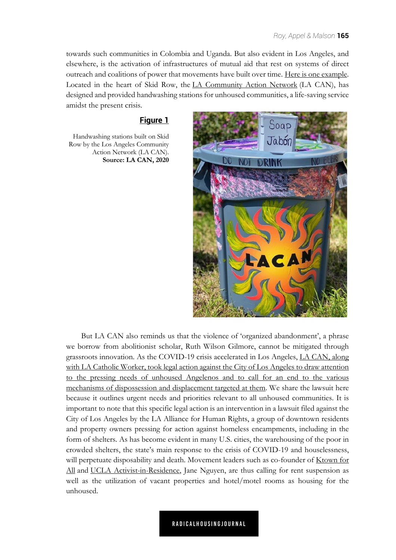towards such communities in Colombia and Uganda. But also evident in Los Angeles, and elsewhere, is the activation of infrastructures of mutual aid that rest on systems of direct outreach and coalitions of power that movements have built over time. [Here is one example.](http://skidrowpower.com/handwashing/?fbclid=IwAR1Qkom-wFIYZ9pcb8u-IJUKHIqK7WbNyAhOkjQy59kRsSj3feflwuZAgf8) Located in the heart of Skid Row, the [LA Community Action Network](https://cangress.org/) (LA CAN), has designed and provided handwashing stations for unhoused communities, a life-saving service amidst the present crisis.

#### **Figure 1**

Handwashing stations built on Skid Row by the Los Angeles Community Action Network (LA CAN). **Source: LA CAN, 2020**



But LA CAN also reminds us that the violence of 'organized abandonment', a phrase we borrow from abolitionist scholar, Ruth Wilson Gilmore, cannot be mitigated through grassroots innovation. As the COVID-19 crisis accelerated in Los Angeles, LA CAN, along [with LA Catholic Worker, took legal action against the City of Los Angeles to draw attention](https://drive.google.com/file/d/1a1MshcQWUXX0tc4yKGqEDsJn6uG5Ypna/view) to the pressing needs of unhoused Angelenos and to call for an end to the various mechanisms of dispossession and displacement targeted at them. We share the lawsuit here because it outlines urgent needs and priorities relevant to all unhoused communities. It is important to note that this specific legal action is an intervention in a lawsuit filed against the City of Los Angeles by the LA Alliance for Human Rights, a group of downtown residents and property owners pressing for action against homeless encampments, including in the form of shelters. As has become evident in many U.S. cities, the warehousing of the poor in crowded shelters, the state's main response to the crisis of COVID-19 and houselessness, will perpetuate disposability and death. Movement leaders such as co-founder of Ktown for All and [UCLA Activist-in-Residence, Jane Nguyen, are thus calling for rent suspension as](http://ktownforall.org/) well as the utilization of vacant properties and hotel/motel rooms as housing for the unhoused.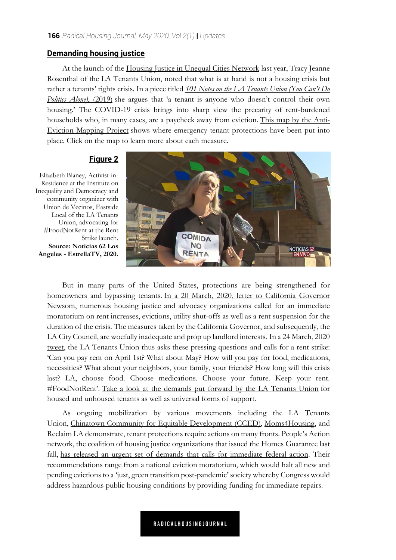#### **Demanding housing justice**

At the launch of the [Housing Justice in Unequal Cities Network](http://unequalcities.org/) last year, Tracy Jeanne Rosenthal of the [LA Tenants Union,](https://latenantsunion.org/en/) noted that what is at hand is not a housing crisis but rather a tenants' rights crisis. In a piece titled *101 Notes on the LA Tenants Union (You Can't Do Politics Alone)*, (2019) [she argues that 'a tenant is anyone who doesn't control their own](https://escholarship.org/uc/item/4kq1j0df#page=51)  housing.' The COVID-19 crisis brings into sharp view the precarity of rent-burdened [households who, in many cases, are a paycheck away from eviction.](https://www.antievictionmap.com/blog/2020/3/19/covid-19-emergency-tenant-protections-map) This map by the Anti-Eviction Mapping Project shows where emergency tenant protections have been put into place. Click on the map to learn more about each measure.

## **Figure 2**

Elizabeth Blaney, Activist-in-Residence at the Institute on Inequality and Democracy and community organizer with Union de Vecinos, Eastside Local of the LA Tenants Union, advocating for #FoodNotRent at the Rent Strike launch. **Source: Noticias 62 Los Angeles - EstrellaTV, 2020.**



But in many parts of the United States, protections are being strengthened for homeowners and bypassing tenants. In a 20 March, 2020, letter to California Governor Newsom, numerous housing justice and advocacy organizations called for an immediate moratorium on rent increases, evictions, utility shut-offs as well as a rent suspension for the duration of the crisis. The measures taken by the California Governor, and subsequently, the LA City Council, are woefully inadequate and prop up landlord interests. In a 24 March, 2020 [tweet, the LA Tenants Union thus asks these pressing questions and calls for a rent strike:](https://twitter.com/LATenantsUnion/status/1242500405612834816)  'Can you pay rent on April 1st? What about May? How will you pay for food, medications, necessities? What about your neighbors, your family, your friends? How long will this crisis last? LA, choose food. Choose medications. Choose your future. Keep your rent. #FoodNotRent'. [Take a look at the demands put forward by the LA Tenants Union](https://medium.com/@LATenantsUnion/declaraci%C3%B3n-sobre-el-covid-19-demands-in-response-to-the-covid-19-crisis-f7353925d298) for housed and unhoused tenants as well as universal forms of support.

As ongoing mobilization by various movements including the LA Tenants Union, [Chinatown Community for Equitable Development \(CCED\),](http://www.ccedla.org/) [Moms4Housing,](https://moms4housing.org/) and Reclaim LA demonstrate, tenant protections require actions on many fronts. People's Action network, the coalition of housing justice organizations that issued the Homes Guarantee last fall, [has released an urgent set of demands that calls for immediate federal action.](https://homesguarantee.com/housing-covid-19/) Their recommendations range from a national eviction moratorium, which would halt all new and pending evictions to a 'just, green transition post-pandemic' society whereby Congress would address hazardous public housing conditions by providing funding for immediate repairs.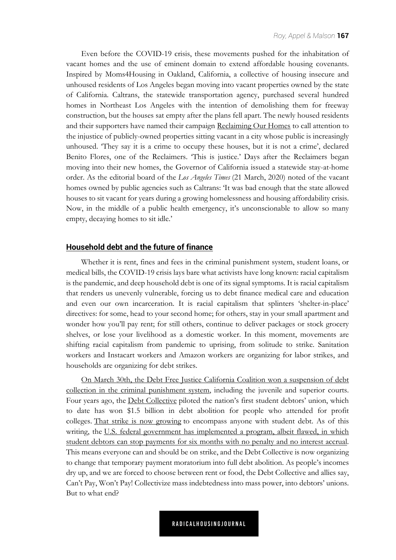Even before the COVID-19 crisis, these movements pushed for the inhabitation of vacant homes and the use of eminent domain to extend affordable housing covenants. Inspired by Moms4Housing in Oakland, California, a collective of housing insecure and unhoused residents of Los Angeles began moving into vacant properties owned by the state of California. Caltrans, the statewide transportation agency, purchased several hundred homes in Northeast Los Angeles with the intention of demolishing them for freeway construction, but the houses sat empty after the plans fell apart. The newly housed residents and their supporters have named their campaign [Reclaiming Our Homes](https://reclaimingourhomes.org/) to call attention to the injustice of publicly-owned properties sitting vacant in a city whose public is increasingly unhoused. 'They say it is a crime to occupy these houses, but it is not a crime', declared Benito Flores, one of the Reclaimers. 'This is justice.' Days after the Reclaimers began moving into their new homes, the Governor of California issued a statewide stay-at-home order. As the editorial board of the *Los Angeles Times* (21 March, 2020) noted of the vacant homes owned by public agencies such as Caltrans: 'It was bad enough that the state allowed houses to sit vacant for years during a growing homelessness and housing affordability crisis. Now, in the middle of a public health emergency, it's unconscionable to allow so many empty, decaying homes to sit idle.'

#### **Household debt and the future of finance**

Whether it is rent, fines and fees in the criminal punishment system, student loans, or medical bills, the COVID-19 crisis lays bare what activists have long known: racial capitalism is the pandemic, and deep household debt is one of its signal symptoms. It is racial capitalism that renders us unevenly vulnerable, forcing us to debt finance medical care and education and even our own incarceration. It is racial capitalism that splinters 'shelter-in-place' directives: for some, head to your second home; for others, stay in your small apartment and wonder how you'll pay rent; for still others, continue to deliver packages or stock grocery shelves, or lose your livelihood as a domestic worker. In this moment, movements are shifting racial capitalism from pandemic to uprising, from solitude to strike. Sanitation workers and Instacart workers and Amazon workers are organizing for labor strikes, and households are organizing for debt strikes.

On March 30th, the Debt Free Justice California Coalition won a suspension of debt [collection in the criminal punishment system, including the juvenile and superior courts.](https://twitter.com/CaDebtJustice/status/1243689036549468161) Four years ago, the [Debt Collective](https://debtcollective.org/) piloted the nation's first student debtors' union, which to date has won \$1.5 billion in debt abolition for people who attended for profit colleges. [That strike is now growing](https://strike.debtcollective.org/) to encompass anyone with student debt. As of this writing, the U.S. federal government has implemented a program, albeit flawed, in which [student debtors can stop payments for six months with no penalty and no interest accrual.](https://truthout.org/articles/the-stimulus-fails-student-borrowers-congress-must-cancel-their-debt/) This means everyone can and should be on strike, and the Debt Collective is now organizing to change that temporary payment moratorium into full debt abolition. As people's incomes dry up, and we are forced to choose between rent or food, the Debt Collective and allies say, Can't Pay, Won't Pay! Collectivize mass indebtedness into mass power, into debtors' unions. But to what end?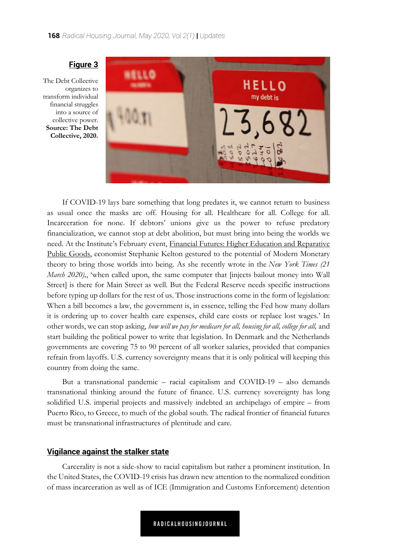

The Debt Collective organizes to transform individual financial struggles into a source of collective power. **Source: The Debt Collective, 2020.**

**Figure 3**

If COVID-19 lays bare something that long predates it, we cannot return to business as usual once the masks are off. Housing for all. Healthcare for all. College for all. Incarceration for none. If debtors' unions give us the power to refuse predatory financialization, we cannot stop at debt abolition, but must bring into being the worlds we need. At the Institute's February event, Financial Futures: Higher Education and Reparative [Public Goods, economist Stephanie Kelton gestured to the potential of Modern Monetary](https://challengeinequality.luskin.ucla.edu/financial-futures-higher-education-and-reparative-public-goods/)  theory to bring those worlds into being. As she recently wrote in the *New York Times (21 March 2020),*, 'when called upon, the same computer that [injects bailout money into Wall Street] is there for Main Street as well. But the Federal Reserve needs specific instructions before typing up dollars for the rest of us. Those instructions come in the form of legislation: When a bill becomes a law, the government is, in essence, telling the Fed how many dollars it is ordering up to cover health care expenses, child care costs or replace lost wages.' In other words, we can stop asking, *how will we pay for medicare for all, housing for all, college for all,* and start building the political power to write that legislation. In Denmark and the Netherlands governments are covering 75 to 90 percent of all worker salaries, provided that companies refrain from layoffs. U.S. currency sovereignty means that it is only political will keeping this country from doing the same.

But a transnational pandemic – racial capitalism and COVID-19 – also demands transnational thinking around the future of finance. U.S. currency sovereignty has long solidified U.S. imperial projects and massively indebted an archipelago of empire – from Puerto Rico, to Greece, to much of the global south. The radical frontier of financial futures must be transnational infrastructures of plentitude and care.

#### **Vigilance against the stalker state**

Carcerality is not a side-show to racial capitalism but rather a prominent institution. In the United States, the COVID-19 crisis has drawn new attention to the normalized condition of mass incarceration as well as of ICE (Immigration and Customs Enforcement) detention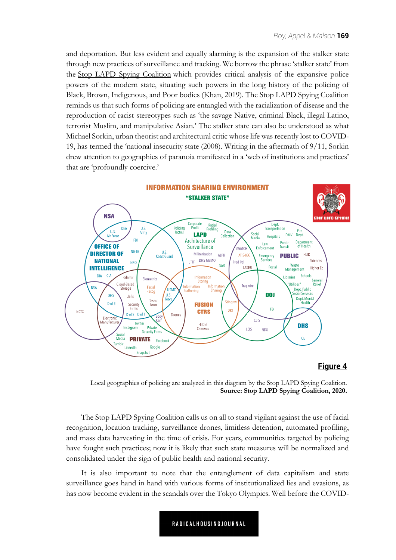and deportation. But less evident and equally alarming is the expansion of the stalker state through new practices of surveillance and tracking. We borrow the phrase 'stalker state' from the [Stop LAPD Spying Coalition](https://stoplapdspying.org/) which provides critical analysis of the expansive police powers of the modern state, situating such powers in the long history of the policing of Black, Brown, Indigenous, and Poor bodies (Khan, 2019). The Stop LAPD Spying Coalition reminds us that such forms of policing are entangled with the racialization of disease and the reproduction of racist stereotypes such as 'the savage Native, criminal Black, illegal Latino, terrorist Muslim, and manipulative Asian.' The stalker state can also be understood as what Michael Sorkin, urban theorist and architectural critic whose life was recently lost to COVID-19, has termed the 'national insecurity state (2008). Writing in the aftermath of 9/11, Sorkin drew attention to geographies of paranoia manifested in a 'web of institutions and practices' that are 'profoundly coercive.'



#### **Figure 4**



The Stop LAPD Spying Coalition calls us on all to stand vigilant against the use of facial recognition, location tracking, surveillance drones, limitless detention, automated profiling, and mass data harvesting in the time of crisis. For years, communities targeted by policing have fought such practices; now it is likely that such state measures will be normalized and consolidated under the sign of public health and national security.

It is also important to note that the entanglement of data capitalism and state surveillance goes hand in hand with various forms of institutionalized lies and evasions, as has now become evident in the scandals over the Tokyo Olympics. Well before the COVID-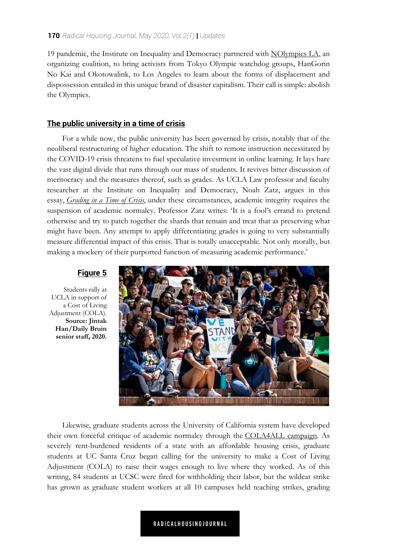19 pandemic, the Institute on Inequality and Democracy partnered with [NOlympics LA](https://nolympicsla.com/), an organizing coalition, to bring activists from Tokyo Olympic watchdog groups, HanGorin No Kai and Okotowalink, to Los Angeles to learn about the forms of displacement and dispossession entailed in this unique brand of disaster capitalism. Their call is simple: abolish the Olympics.

## **The public university in a time of crisis**

For a while now, the public university has been governed by crisis, notably that of the neoliberal restructuring of higher education. The shift to remote instruction necessitated by the COVID-19 crisis threatens to fuel speculative investment in online learning. It lays bare the vast digital divide that runs through our mass of students. It revives bitter discussion of meritocracy and the measures thereof, such as grades. As UCLA Law professor and faculty researcher at the Institute on Inequality and Democracy, Noah Zatz, argues in this essay, *[Grading in a Time of Crisis](https://www.thefacultylounge.org/2020/03/grading-in-a-time-of-crisis.html)*, under these circumstances, academic integrity requires the suspension of academic normalcy. Professor Zatz writes: 'It is a fool's errand to pretend otherwise and try to patch together the shards that remain and treat that as preserving what might have been. Any attempt to apply differentiating grades is going to very substantially measure differential impact of this crisis. That is totally unacceptable. Not only morally, but making a mockery of their purported function of measuring academic performance.'

# **Figure 5**

Students rally at UCLA in support of a Cost of Living Adjustment (COLA). **Source: Jintak Han/Daily Bruin senior staff, 2020.**



Likewise, graduate students across the University of California system have developed their own forceful critique of academic normalcy through the [COLA4ALL campaign](https://strikeuniversity.org/). As severely rent-burdened residents of a state with an affordable housing crisis, graduate students at UC Santa Cruz began calling for the university to make a Cost of Living Adjustment (COLA) to raise their wages enough to live where they worked. As of this writing, 84 students at UCSC were fired for withholding their labor, but the wildcat strike has grown as graduate student workers at all 10 campuses held teaching strikes, grading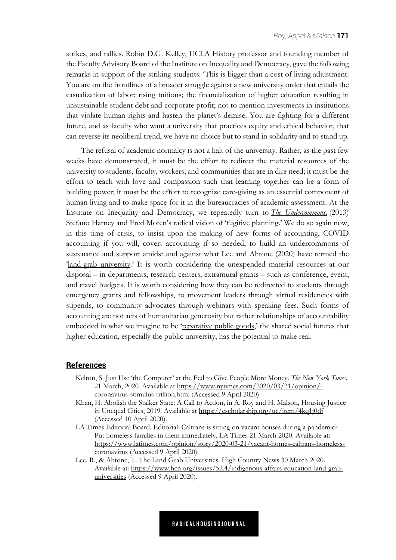strikes, and rallies. Robin D.G. Kelley, UCLA History professor and founding member of the Faculty Advisory Board of the Institute on Inequality and Democracy, gave the following remarks in support of the striking students: 'This is bigger than a cost of living adjustment. You are on the frontlines of a broader struggle against a new university order that entails the casualization of labor; rising tuitions; the financialization of higher education resulting in unsustainable student debt and corporate profit; not to mention investments in institutions that violate human rights and hasten the planet's demise. You are fighting for a different future, and as faculty who want a university that practices equity and ethical behavior, that can reverse its neoliberal trend, we have no choice but to stand in solidarity and to stand up.

The refusal of academic normalcy is not a halt of the university. Rather, as the past few weeks have demonstrated, it must be the effort to redirect the material resources of the university to students, faculty, workers, and communities that are in dire need; it must be the effort to teach with love and compassion such that learning together can be a form of building power; it must be the effort to recognize care-giving as an essential component of human living and to make space for it in the bureaucracies of academic assessment. At the Institute on Inequality and Democracy, we repeatedly turn to *[The Undercommons](http://www.minorcompositions.info/wp-content/uploads/2013/04/undercommons-web.pdf),* (2013) Stefano Harney and Fred Moten's radical vision of 'fugitive planning.' We do so again now, in this time of crisis, to insist upon the making of new forms of accounting, COVID accounting if you will, covert accounting if so needed, to build an undercommons of sustenance and support amidst and against what Lee and Ahtone (2020) have termed the '[land-grab university.'](https://www.hcn.org/issues/52.4/indigenous-affairs-education-land-grab-universities) It is worth considering the unexpended material resources at our disposal – in departments, research centers, extramural grants – such as conference, event, and travel budgets. It is worth considering how they can be redirected to students through emergency grants and fellowships, to movement leaders through virtual residencies with stipends, to community advocates through webinars with speaking fees. Such forms of accounting are not acts of humanitarian generosity but rather relationships of accountability embedded in what we imagine to be ['reparative public goods,'](https://challengeinequality.luskin.ucla.edu/financial-futures-higher-education-and-reparative-public-goods/) the shared social futures that higher education, especially the public university, has the potential to make real.

#### **References**

- Kelton, S. Just Use 'the Computer' at the Fed to Give People More Money. *The New York Times*. 21 March, 2020. Available at https://www.nytimes.com/2020/03/21/opinion/ coronavirus-stimulus-trillion.html (Accessed 9 April 2020)
- Khan, H. Abolish the Stalker State: A Call to Action, in A. Roy and H. Malson, Housing Justice in Unequal Cities, 2019. Available at https://escholarship.org/uc/item/4kq1j0df (Accessed 10 April 2020).
- LA Times Editorial Board. Editorial: Caltrans is sitting on vacant houses during a pandemic? Put homeless families in them immediately. LA Times 21 March 2020. Available at: https://www.latimes.com/opinion/story/2020-03-21/vacant-homes-caltrans-homelesscoronavirus (Accessed 9 April 2020).
- Lee. R., & Ahtone, T. The Land Grab Universities. High Country News 30 March 2020. Available at: https://www.hcn.org/issues/52.4/indigenous-affairs-education-land-grabuniversities (Accessed 9 April 2020).